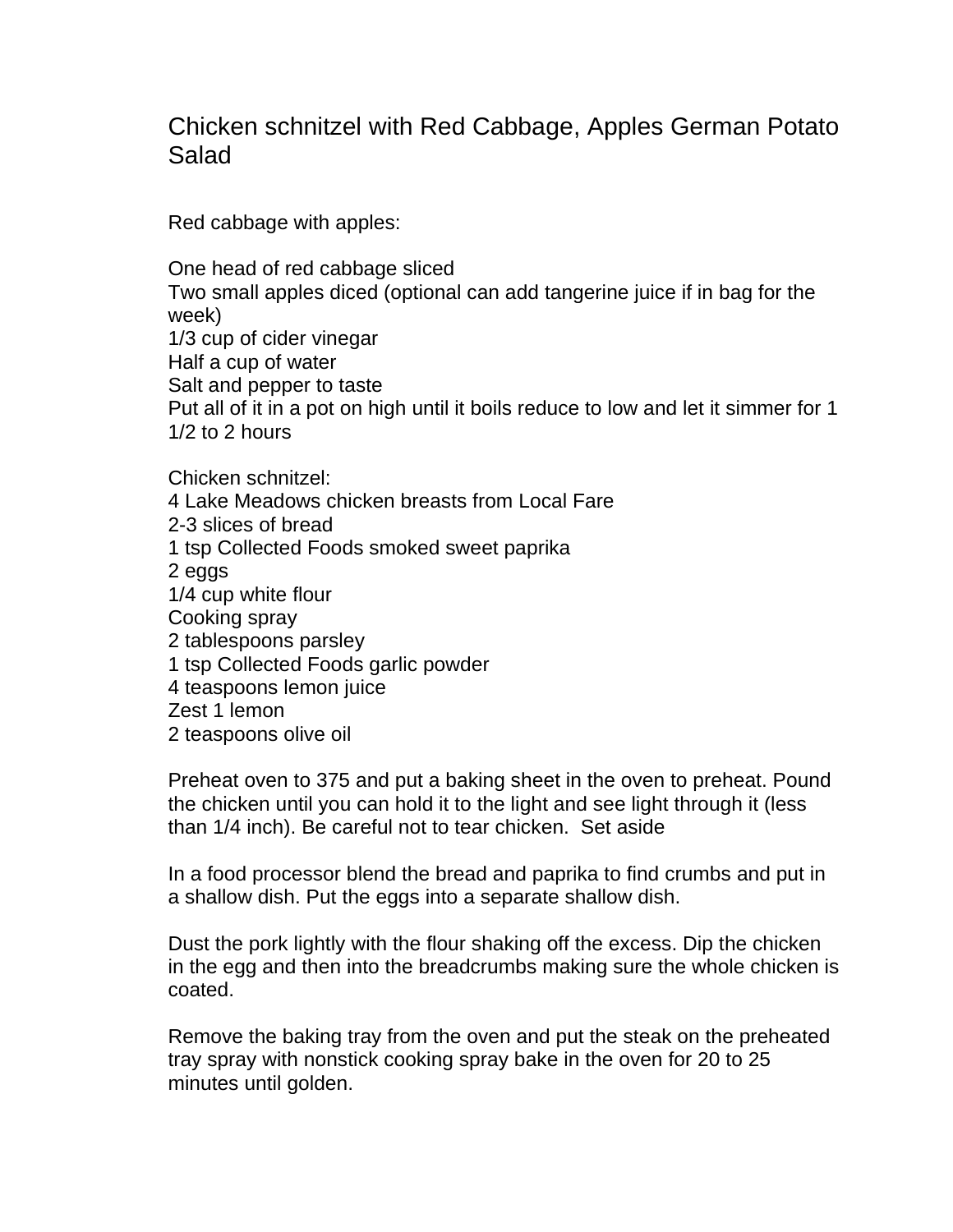## Chicken schnitzel with Red Cabbage, Apples German Potato Salad

Red cabbage with apples:

One head of red cabbage sliced Two small apples diced (optional can add tangerine juice if in bag for the week) 1/3 cup of cider vinegar Half a cup of water Salt and pepper to taste Put all of it in a pot on high until it boils reduce to low and let it simmer for 1 1/2 to 2 hours

Chicken schnitzel: 4 Lake Meadows chicken breasts from Local Fare 2-3 slices of bread 1 tsp Collected Foods smoked sweet paprika 2 eggs 1/4 cup white flour Cooking spray 2 tablespoons parsley 1 tsp Collected Foods garlic powder 4 teaspoons lemon juice Zest 1 lemon 2 teaspoons olive oil

Preheat oven to 375 and put a baking sheet in the oven to preheat. Pound the chicken until you can hold it to the light and see light through it (less than 1/4 inch). Be careful not to tear chicken. Set aside

In a food processor blend the bread and paprika to find crumbs and put in a shallow dish. Put the eggs into a separate shallow dish.

Dust the pork lightly with the flour shaking off the excess. Dip the chicken in the egg and then into the breadcrumbs making sure the whole chicken is coated.

Remove the baking tray from the oven and put the steak on the preheated tray spray with nonstick cooking spray bake in the oven for 20 to 25 minutes until golden.